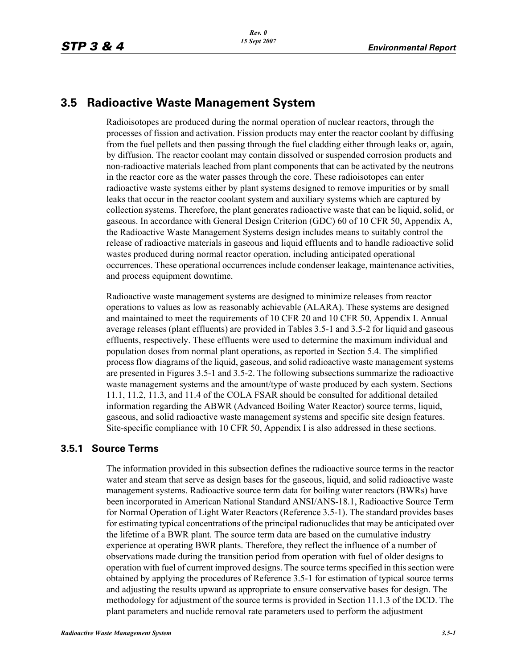# **3.5 Radioactive Waste Management System**

Radioisotopes are produced during the normal operation of nuclear reactors, through the processes of fission and activation. Fission products may enter the reactor coolant by diffusing from the fuel pellets and then passing through the fuel cladding either through leaks or, again, by diffusion. The reactor coolant may contain dissolved or suspended corrosion products and non-radioactive materials leached from plant components that can be activated by the neutrons in the reactor core as the water passes through the core. These radioisotopes can enter radioactive waste systems either by plant systems designed to remove impurities or by small leaks that occur in the reactor coolant system and auxiliary systems which are captured by collection systems. Therefore, the plant generates radioactive waste that can be liquid, solid, or gaseous. In accordance with General Design Criterion (GDC) 60 of 10 CFR 50, Appendix A, the Radioactive Waste Management Systems design includes means to suitably control the release of radioactive materials in gaseous and liquid effluents and to handle radioactive solid wastes produced during normal reactor operation, including anticipated operational occurrences. These operational occurrences include condenser leakage, maintenance activities, and process equipment downtime.

Radioactive waste management systems are designed to minimize releases from reactor operations to values as low as reasonably achievable (ALARA). These systems are designed and maintained to meet the requirements of 10 CFR 20 and 10 CFR 50, Appendix I. Annual average releases (plant effluents) are provided in Tables 3.5-1 and 3.5-2 for liquid and gaseous effluents, respectively. These effluents were used to determine the maximum individual and population doses from normal plant operations, as reported in Section 5.4. The simplified process flow diagrams of the liquid, gaseous, and solid radioactive waste management systems are presented in Figures 3.5-1 and 3.5-2. The following subsections summarize the radioactive waste management systems and the amount/type of waste produced by each system. Sections 11.1, 11.2, 11.3, and 11.4 of the COLA FSAR should be consulted for additional detailed information regarding the ABWR (Advanced Boiling Water Reactor) source terms, liquid, gaseous, and solid radioactive waste management systems and specific site design features. Site-specific compliance with 10 CFR 50, Appendix I is also addressed in these sections.

## **3.5.1 Source Terms**

The information provided in this subsection defines the radioactive source terms in the reactor water and steam that serve as design bases for the gaseous, liquid, and solid radioactive waste management systems. Radioactive source term data for boiling water reactors (BWRs) have been incorporated in American National Standard ANSI/ANS-18.1, Radioactive Source Term for Normal Operation of Light Water Reactors (Reference 3.5-1). The standard provides bases for estimating typical concentrations of the principal radionuclides that may be anticipated over the lifetime of a BWR plant. The source term data are based on the cumulative industry experience at operating BWR plants. Therefore, they reflect the influence of a number of observations made during the transition period from operation with fuel of older designs to operation with fuel of current improved designs. The source terms specified in this section were obtained by applying the procedures of Reference 3.5-1 for estimation of typical source terms and adjusting the results upward as appropriate to ensure conservative bases for design. The methodology for adjustment of the source terms is provided in Section 11.1.3 of the DCD. The plant parameters and nuclide removal rate parameters used to perform the adjustment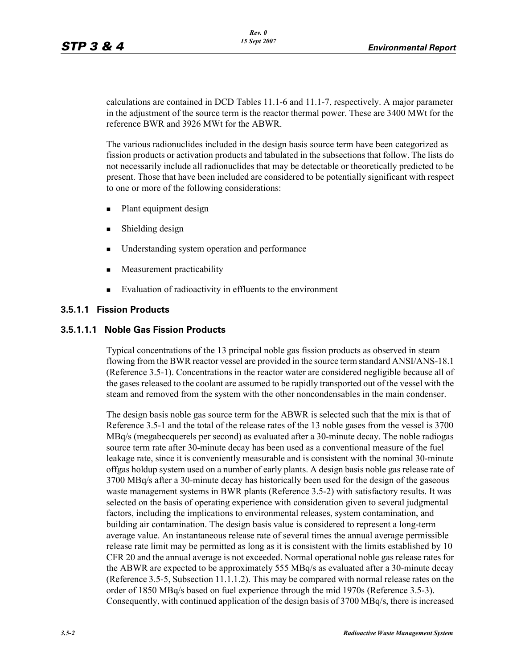calculations are contained in DCD Tables 11.1-6 and 11.1-7, respectively. A major parameter in the adjustment of the source term is the reactor thermal power. These are 3400 MWt for the reference BWR and 3926 MWt for the ABWR.

The various radionuclides included in the design basis source term have been categorized as fission products or activation products and tabulated in the subsections that follow. The lists do not necessarily include all radionuclides that may be detectable or theoretically predicted to be present. Those that have been included are considered to be potentially significant with respect to one or more of the following considerations:

- Plant equipment design
- **Shielding design**
- Understanding system operation and performance
- **Measurement practicability**
- Evaluation of radioactivity in effluents to the environment

### **3.5.1.1 Fission Products**

#### **3.5.1.1.1 Noble Gas Fission Products**

Typical concentrations of the 13 principal noble gas fission products as observed in steam flowing from the BWR reactor vessel are provided in the source term standard ANSI/ANS-18.1 (Reference 3.5-1). Concentrations in the reactor water are considered negligible because all of the gases released to the coolant are assumed to be rapidly transported out of the vessel with the steam and removed from the system with the other noncondensables in the main condenser.

The design basis noble gas source term for the ABWR is selected such that the mix is that of Reference 3.5-1 and the total of the release rates of the 13 noble gases from the vessel is 3700 MBq/s (megabecquerels per second) as evaluated after a 30-minute decay. The noble radiogas source term rate after 30-minute decay has been used as a conventional measure of the fuel leakage rate, since it is conveniently measurable and is consistent with the nominal 30-minute offgas holdup system used on a number of early plants. A design basis noble gas release rate of 3700 MBq/s after a 30-minute decay has historically been used for the design of the gaseous waste management systems in BWR plants (Reference 3.5-2) with satisfactory results. It was selected on the basis of operating experience with consideration given to several judgmental factors, including the implications to environmental releases, system contamination, and building air contamination. The design basis value is considered to represent a long-term average value. An instantaneous release rate of several times the annual average permissible release rate limit may be permitted as long as it is consistent with the limits established by 10 CFR 20 and the annual average is not exceeded. Normal operational noble gas release rates for the ABWR are expected to be approximately 555 MBq/s as evaluated after a 30-minute decay (Reference 3.5-5, Subsection 11.1.1.2). This may be compared with normal release rates on the order of 1850 MBq/s based on fuel experience through the mid 1970s (Reference 3.5-3). Consequently, with continued application of the design basis of 3700 MBq/s, there is increased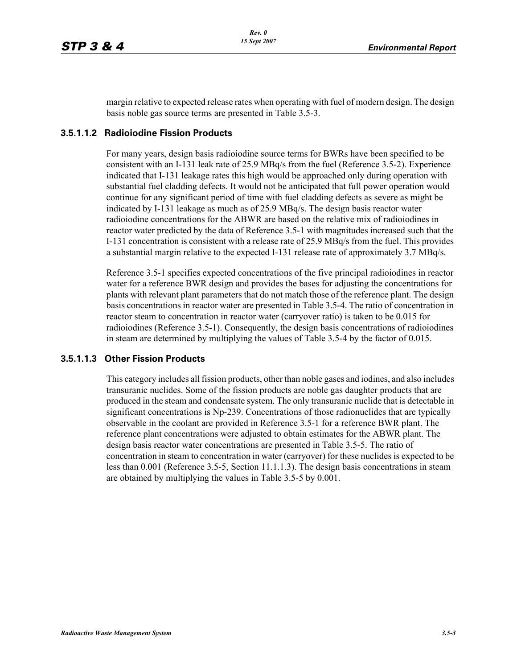margin relative to expected release rates when operating with fuel of modern design. The design basis noble gas source terms are presented in Table 3.5-3.

#### **3.5.1.1.2 Radioiodine Fission Products**

For many years, design basis radioiodine source terms for BWRs have been specified to be consistent with an I-131 leak rate of 25.9 MBq/s from the fuel (Reference 3.5-2). Experience indicated that I-131 leakage rates this high would be approached only during operation with substantial fuel cladding defects. It would not be anticipated that full power operation would continue for any significant period of time with fuel cladding defects as severe as might be indicated by I-131 leakage as much as of 25.9 MBq/s. The design basis reactor water radioiodine concentrations for the ABWR are based on the relative mix of radioiodines in reactor water predicted by the data of Reference 3.5-1 with magnitudes increased such that the I-131 concentration is consistent with a release rate of 25.9 MBq/s from the fuel. This provides a substantial margin relative to the expected I-131 release rate of approximately 3.7 MBq/s.

Reference 3.5-1 specifies expected concentrations of the five principal radioiodines in reactor water for a reference BWR design and provides the bases for adjusting the concentrations for plants with relevant plant parameters that do not match those of the reference plant. The design basis concentrations in reactor water are presented in Table 3.5-4. The ratio of concentration in reactor steam to concentration in reactor water (carryover ratio) is taken to be 0.015 for radioiodines (Reference 3.5-1). Consequently, the design basis concentrations of radioiodines in steam are determined by multiplying the values of Table 3.5-4 by the factor of 0.015.

#### **3.5.1.1.3 Other Fission Products**

This category includes all fission products, other than noble gases and iodines, and also includes transuranic nuclides. Some of the fission products are noble gas daughter products that are produced in the steam and condensate system. The only transuranic nuclide that is detectable in significant concentrations is Np-239. Concentrations of those radionuclides that are typically observable in the coolant are provided in Reference 3.5-1 for a reference BWR plant. The reference plant concentrations were adjusted to obtain estimates for the ABWR plant. The design basis reactor water concentrations are presented in Table 3.5-5. The ratio of concentration in steam to concentration in water (carryover) for these nuclides is expected to be less than 0.001 (Reference 3.5-5, Section 11.1.1.3). The design basis concentrations in steam are obtained by multiplying the values in Table 3.5-5 by 0.001.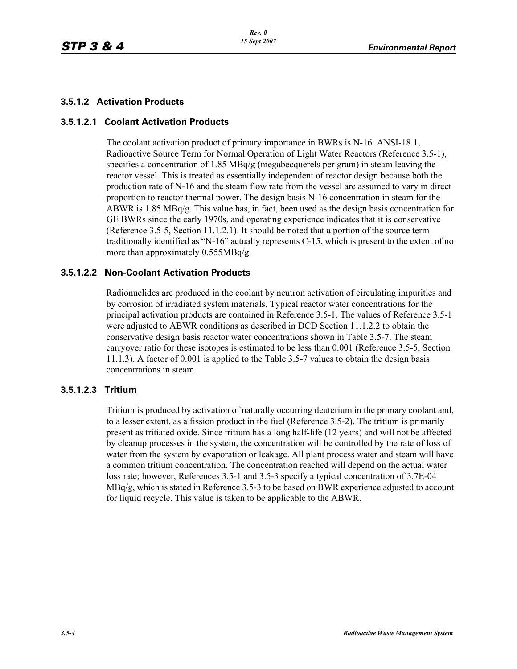### **3.5.1.2 Activation Products**

#### **3.5.1.2.1 Coolant Activation Products**

The coolant activation product of primary importance in BWRs is N-16. ANSI-18.1, Radioactive Source Term for Normal Operation of Light Water Reactors (Reference 3.5-1), specifies a concentration of 1.85 MBq/g (megabecquerels per gram) in steam leaving the reactor vessel. This is treated as essentially independent of reactor design because both the production rate of N-16 and the steam flow rate from the vessel are assumed to vary in direct proportion to reactor thermal power. The design basis N-16 concentration in steam for the ABWR is  $1.85 \text{ MBq/g}$ . This value has, in fact, been used as the design basis concentration for GE BWRs since the early 1970s, and operating experience indicates that it is conservative (Reference 3.5-5, Section 11.1.2.1). It should be noted that a portion of the source term traditionally identified as "N-16" actually represents C-15, which is present to the extent of no more than approximately 0.555MBq/g.

### **3.5.1.2.2 Non-Coolant Activation Products**

Radionuclides are produced in the coolant by neutron activation of circulating impurities and by corrosion of irradiated system materials. Typical reactor water concentrations for the principal activation products are contained in Reference 3.5-1. The values of Reference 3.5-1 were adjusted to ABWR conditions as described in DCD Section 11.1.2.2 to obtain the conservative design basis reactor water concentrations shown in Table 3.5-7. The steam carryover ratio for these isotopes is estimated to be less than 0.001 (Reference 3.5-5, Section 11.1.3). A factor of 0.001 is applied to the Table 3.5-7 values to obtain the design basis concentrations in steam.

#### **3.5.1.2.3 Tritium**

Tritium is produced by activation of naturally occurring deuterium in the primary coolant and, to a lesser extent, as a fission product in the fuel (Reference 3.5-2). The tritium is primarily present as tritiated oxide. Since tritium has a long half-life (12 years) and will not be affected by cleanup processes in the system, the concentration will be controlled by the rate of loss of water from the system by evaporation or leakage. All plant process water and steam will have a common tritium concentration. The concentration reached will depend on the actual water loss rate; however, References 3.5-1 and 3.5-3 specify a typical concentration of 3.7E-04 MBq/g, which is stated in Reference 3.5-3 to be based on BWR experience adjusted to account for liquid recycle. This value is taken to be applicable to the ABWR.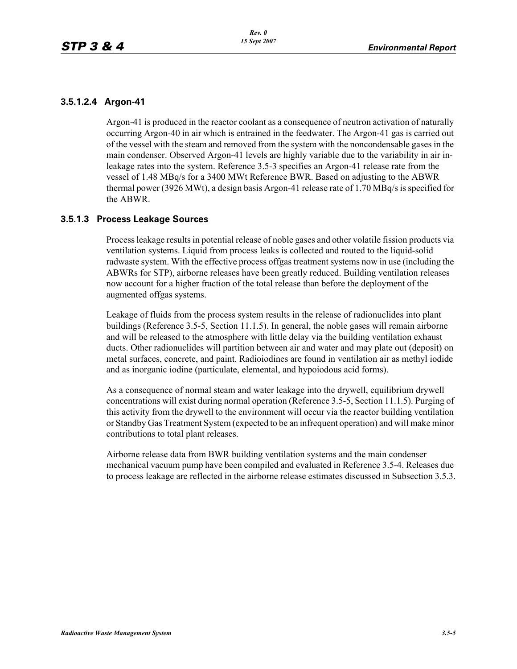## **3.5.1.2.4 Argon-41**

Argon-41 is produced in the reactor coolant as a consequence of neutron activation of naturally occurring Argon-40 in air which is entrained in the feedwater. The Argon-41 gas is carried out of the vessel with the steam and removed from the system with the noncondensable gases in the main condenser. Observed Argon-41 levels are highly variable due to the variability in air inleakage rates into the system. Reference 3.5-3 specifies an Argon-41 release rate from the vessel of 1.48 MBq/s for a 3400 MWt Reference BWR. Based on adjusting to the ABWR thermal power (3926 MWt), a design basis Argon-41 release rate of 1.70 MBq/s is specified for the ABWR.

#### **3.5.1.3 Process Leakage Sources**

Process leakage results in potential release of noble gases and other volatile fission products via ventilation systems. Liquid from process leaks is collected and routed to the liquid-solid radwaste system. With the effective process offgas treatment systems now in use (including the ABWRs for STP), airborne releases have been greatly reduced. Building ventilation releases now account for a higher fraction of the total release than before the deployment of the augmented offgas systems.

Leakage of fluids from the process system results in the release of radionuclides into plant buildings (Reference 3.5-5, Section 11.1.5). In general, the noble gases will remain airborne and will be released to the atmosphere with little delay via the building ventilation exhaust ducts. Other radionuclides will partition between air and water and may plate out (deposit) on metal surfaces, concrete, and paint. Radioiodines are found in ventilation air as methyl iodide and as inorganic iodine (particulate, elemental, and hypoiodous acid forms).

As a consequence of normal steam and water leakage into the drywell, equilibrium drywell concentrations will exist during normal operation (Reference 3.5-5, Section 11.1.5). Purging of this activity from the drywell to the environment will occur via the reactor building ventilation or Standby Gas Treatment System (expected to be an infrequent operation) and will make minor contributions to total plant releases.

Airborne release data from BWR building ventilation systems and the main condenser mechanical vacuum pump have been compiled and evaluated in Reference 3.5-4. Releases due to process leakage are reflected in the airborne release estimates discussed in Subsection 3.5.3.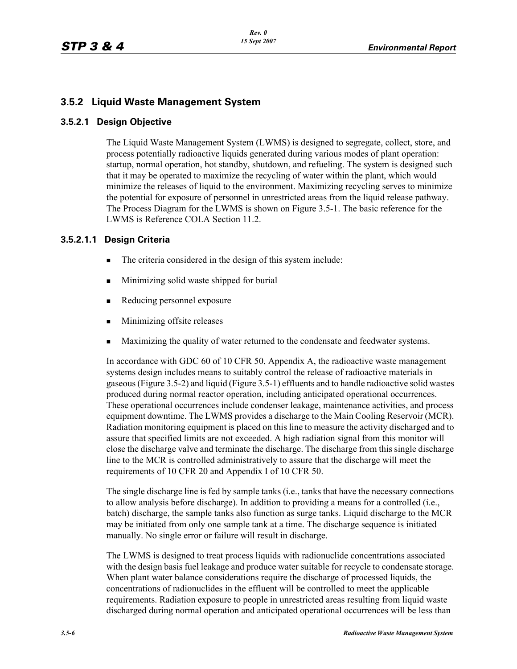## **3.5.2 Liquid Waste Management System**

### **3.5.2.1 Design Objective**

The Liquid Waste Management System (LWMS) is designed to segregate, collect, store, and process potentially radioactive liquids generated during various modes of plant operation: startup, normal operation, hot standby, shutdown, and refueling. The system is designed such that it may be operated to maximize the recycling of water within the plant, which would minimize the releases of liquid to the environment. Maximizing recycling serves to minimize the potential for exposure of personnel in unrestricted areas from the liquid release pathway. The Process Diagram for the LWMS is shown on Figure 3.5-1. The basic reference for the LWMS is Reference COLA Section 11.2.

## **3.5.2.1.1 Design Criteria**

- The criteria considered in the design of this system include:
- **Minimizing solid waste shipped for burial**
- Reducing personnel exposure
- **Minimizing offsite releases**
- Maximizing the quality of water returned to the condensate and feedwater systems.

In accordance with GDC 60 of 10 CFR 50, Appendix A, the radioactive waste management systems design includes means to suitably control the release of radioactive materials in gaseous (Figure 3.5-2) and liquid (Figure 3.5-1) effluents and to handle radioactive solid wastes produced during normal reactor operation, including anticipated operational occurrences. These operational occurrences include condenser leakage, maintenance activities, and process equipment downtime. The LWMS provides a discharge to the Main Cooling Reservoir (MCR). Radiation monitoring equipment is placed on this line to measure the activity discharged and to assure that specified limits are not exceeded. A high radiation signal from this monitor will close the discharge valve and terminate the discharge. The discharge from this single discharge line to the MCR is controlled administratively to assure that the discharge will meet the requirements of 10 CFR 20 and Appendix I of 10 CFR 50.

The single discharge line is fed by sample tanks (i.e., tanks that have the necessary connections to allow analysis before discharge). In addition to providing a means for a controlled (i.e., batch) discharge, the sample tanks also function as surge tanks. Liquid discharge to the MCR may be initiated from only one sample tank at a time. The discharge sequence is initiated manually. No single error or failure will result in discharge.

The LWMS is designed to treat process liquids with radionuclide concentrations associated with the design basis fuel leakage and produce water suitable for recycle to condensate storage. When plant water balance considerations require the discharge of processed liquids, the concentrations of radionuclides in the effluent will be controlled to meet the applicable requirements. Radiation exposure to people in unrestricted areas resulting from liquid waste discharged during normal operation and anticipated operational occurrences will be less than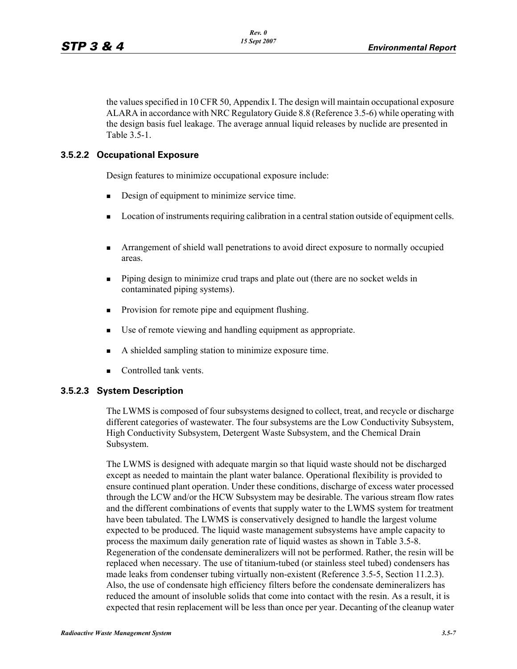the values specified in 10 CFR 50, Appendix I. The design will maintain occupational exposure ALARA in accordance with NRC Regulatory Guide 8.8 (Reference 3.5-6) while operating with the design basis fuel leakage. The average annual liquid releases by nuclide are presented in Table 3.5-1.

## **3.5.2.2 Occupational Exposure**

Design features to minimize occupational exposure include:

- Design of equipment to minimize service time.
- **Location of instruments requiring calibration in a central station outside of equipment cells.**
- Arrangement of shield wall penetrations to avoid direct exposure to normally occupied areas.
- **Piping design to minimize crud traps and plate out (there are no socket welds in** contaminated piping systems).
- **Provision for remote pipe and equipment flushing.**
- Use of remote viewing and handling equipment as appropriate.
- A shielded sampling station to minimize exposure time.
- Controlled tank vents.

## **3.5.2.3 System Description**

The LWMS is composed of four subsystems designed to collect, treat, and recycle or discharge different categories of wastewater. The four subsystems are the Low Conductivity Subsystem, High Conductivity Subsystem, Detergent Waste Subsystem, and the Chemical Drain Subsystem.

The LWMS is designed with adequate margin so that liquid waste should not be discharged except as needed to maintain the plant water balance. Operational flexibility is provided to ensure continued plant operation. Under these conditions, discharge of excess water processed through the LCW and/or the HCW Subsystem may be desirable. The various stream flow rates and the different combinations of events that supply water to the LWMS system for treatment have been tabulated. The LWMS is conservatively designed to handle the largest volume expected to be produced. The liquid waste management subsystems have ample capacity to process the maximum daily generation rate of liquid wastes as shown in Table 3.5-8. Regeneration of the condensate demineralizers will not be performed. Rather, the resin will be replaced when necessary. The use of titanium-tubed (or stainless steel tubed) condensers has made leaks from condenser tubing virtually non-existent (Reference 3.5-5, Section 11.2.3). Also, the use of condensate high efficiency filters before the condensate demineralizers has reduced the amount of insoluble solids that come into contact with the resin. As a result, it is expected that resin replacement will be less than once per year. Decanting of the cleanup water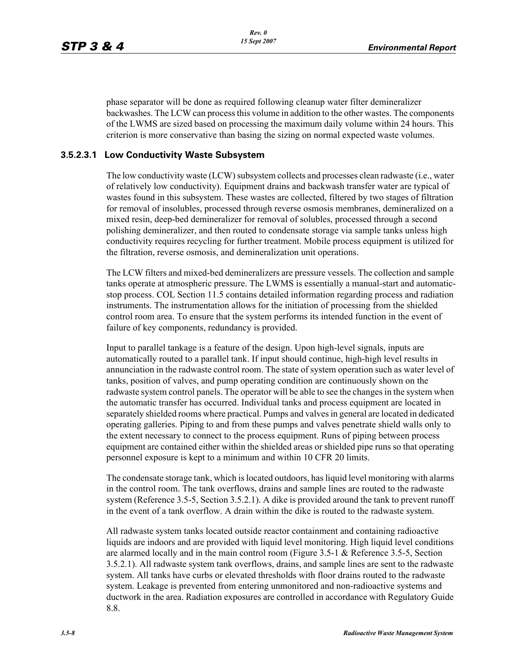phase separator will be done as required following cleanup water filter demineralizer backwashes. The LCW can process this volume in addition to the other wastes. The components of the LWMS are sized based on processing the maximum daily volume within 24 hours. This criterion is more conservative than basing the sizing on normal expected waste volumes.

### **3.5.2.3.1 Low Conductivity Waste Subsystem**

The low conductivity waste (LCW) subsystem collects and processes clean radwaste (i.e., water of relatively low conductivity). Equipment drains and backwash transfer water are typical of wastes found in this subsystem. These wastes are collected, filtered by two stages of filtration for removal of insolubles, processed through reverse osmosis membranes, demineralized on a mixed resin, deep-bed demineralizer for removal of solubles, processed through a second polishing demineralizer, and then routed to condensate storage via sample tanks unless high conductivity requires recycling for further treatment. Mobile process equipment is utilized for the filtration, reverse osmosis, and demineralization unit operations.

The LCW filters and mixed-bed demineralizers are pressure vessels. The collection and sample tanks operate at atmospheric pressure. The LWMS is essentially a manual-start and automaticstop process. COL Section 11.5 contains detailed information regarding process and radiation instruments. The instrumentation allows for the initiation of processing from the shielded control room area. To ensure that the system performs its intended function in the event of failure of key components, redundancy is provided.

Input to parallel tankage is a feature of the design. Upon high-level signals, inputs are automatically routed to a parallel tank. If input should continue, high-high level results in annunciation in the radwaste control room. The state of system operation such as water level of tanks, position of valves, and pump operating condition are continuously shown on the radwaste system control panels. The operator will be able to see the changes in the system when the automatic transfer has occurred. Individual tanks and process equipment are located in separately shielded rooms where practical. Pumps and valves in general are located in dedicated operating galleries. Piping to and from these pumps and valves penetrate shield walls only to the extent necessary to connect to the process equipment. Runs of piping between process equipment are contained either within the shielded areas or shielded pipe runs so that operating personnel exposure is kept to a minimum and within 10 CFR 20 limits.

The condensate storage tank, which is located outdoors, has liquid level monitoring with alarms in the control room. The tank overflows, drains and sample lines are routed to the radwaste system (Reference 3.5-5, Section 3.5.2.1). A dike is provided around the tank to prevent runoff in the event of a tank overflow. A drain within the dike is routed to the radwaste system.

All radwaste system tanks located outside reactor containment and containing radioactive liquids are indoors and are provided with liquid level monitoring. High liquid level conditions are alarmed locally and in the main control room (Figure 3.5-1 & Reference 3.5-5, Section 3.5.2.1). All radwaste system tank overflows, drains, and sample lines are sent to the radwaste system. All tanks have curbs or elevated thresholds with floor drains routed to the radwaste system. Leakage is prevented from entering unmonitored and non-radioactive systems and ductwork in the area. Radiation exposures are controlled in accordance with Regulatory Guide 8.8.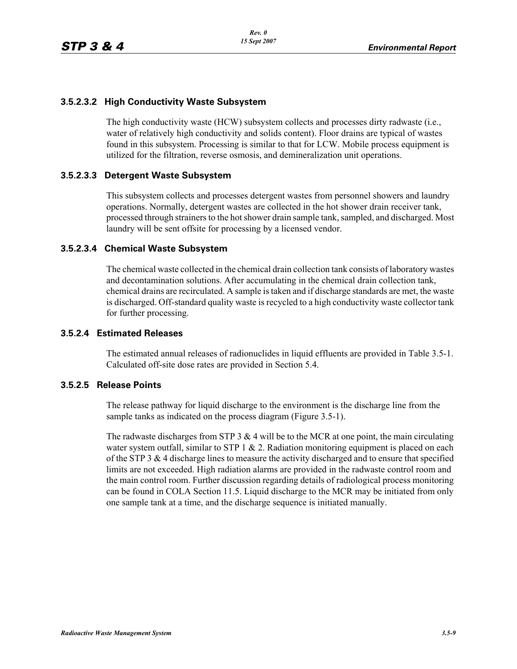### **3.5.2.3.2 High Conductivity Waste Subsystem**

The high conductivity waste (HCW) subsystem collects and processes dirty radwaste (i.e., water of relatively high conductivity and solids content). Floor drains are typical of wastes found in this subsystem. Processing is similar to that for LCW. Mobile process equipment is utilized for the filtration, reverse osmosis, and demineralization unit operations.

#### **3.5.2.3.3 Detergent Waste Subsystem**

This subsystem collects and processes detergent wastes from personnel showers and laundry operations. Normally, detergent wastes are collected in the hot shower drain receiver tank, processed through strainers to the hot shower drain sample tank, sampled, and discharged. Most laundry will be sent offsite for processing by a licensed vendor.

#### **3.5.2.3.4 Chemical Waste Subsystem**

The chemical waste collected in the chemical drain collection tank consists of laboratory wastes and decontamination solutions. After accumulating in the chemical drain collection tank, chemical drains are recirculated. A sample is taken and if discharge standards are met, the waste is discharged. Off-standard quality waste is recycled to a high conductivity waste collector tank for further processing.

#### **3.5.2.4 Estimated Releases**

The estimated annual releases of radionuclides in liquid effluents are provided in Table 3.5-1. Calculated off-site dose rates are provided in Section 5.4.

#### **3.5.2.5 Release Points**

The release pathway for liquid discharge to the environment is the discharge line from the sample tanks as indicated on the process diagram (Figure 3.5-1).

The radwaste discharges from STP 3  $\&$  4 will be to the MCR at one point, the main circulating water system outfall, similar to STP 1  $\&$  2. Radiation monitoring equipment is placed on each of the STP 3 & 4 discharge lines to measure the activity discharged and to ensure that specified limits are not exceeded. High radiation alarms are provided in the radwaste control room and the main control room. Further discussion regarding details of radiological process monitoring can be found in COLA Section 11.5. Liquid discharge to the MCR may be initiated from only one sample tank at a time, and the discharge sequence is initiated manually.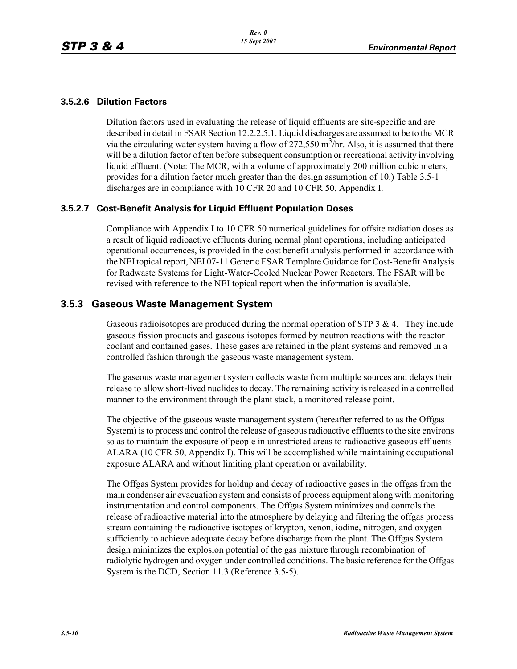### **3.5.2.6 Dilution Factors**

Dilution factors used in evaluating the release of liquid effluents are site-specific and are described in detail in FSAR Section 12.2.2.5.1. Liquid discharges are assumed to be to the MCR via the circulating water system having a flow of  $272,550$  m<sup>3</sup>/hr. Also, it is assumed that there will be a dilution factor of ten before subsequent consumption or recreational activity involving liquid effluent. (Note: The MCR, with a volume of approximately 200 million cubic meters, provides for a dilution factor much greater than the design assumption of 10.) Table 3.5-1 discharges are in compliance with 10 CFR 20 and 10 CFR 50, Appendix I.

### **3.5.2.7 Cost-Benefit Analysis for Liquid Effluent Population Doses**

Compliance with Appendix I to 10 CFR 50 numerical guidelines for offsite radiation doses as a result of liquid radioactive effluents during normal plant operations, including anticipated operational occurrences, is provided in the cost benefit analysis performed in accordance with the NEI topical report, NEI 07-11 Generic FSAR Template Guidance for Cost-Benefit Analysis for Radwaste Systems for Light-Water-Cooled Nuclear Power Reactors. The FSAR will be revised with reference to the NEI topical report when the information is available.

## **3.5.3 Gaseous Waste Management System**

Gaseous radioisotopes are produced during the normal operation of STP  $3 \& 4$ . They include gaseous fission products and gaseous isotopes formed by neutron reactions with the reactor coolant and contained gases. These gases are retained in the plant systems and removed in a controlled fashion through the gaseous waste management system.

The gaseous waste management system collects waste from multiple sources and delays their release to allow short-lived nuclides to decay. The remaining activity is released in a controlled manner to the environment through the plant stack, a monitored release point.

The objective of the gaseous waste management system (hereafter referred to as the Offgas System) is to process and control the release of gaseous radioactive effluents to the site environs so as to maintain the exposure of people in unrestricted areas to radioactive gaseous effluents ALARA (10 CFR 50, Appendix I). This will be accomplished while maintaining occupational exposure ALARA and without limiting plant operation or availability.

The Offgas System provides for holdup and decay of radioactive gases in the offgas from the main condenser air evacuation system and consists of process equipment along with monitoring instrumentation and control components. The Offgas System minimizes and controls the release of radioactive material into the atmosphere by delaying and filtering the offgas process stream containing the radioactive isotopes of krypton, xenon, iodine, nitrogen, and oxygen sufficiently to achieve adequate decay before discharge from the plant. The Offgas System design minimizes the explosion potential of the gas mixture through recombination of radiolytic hydrogen and oxygen under controlled conditions. The basic reference for the Offgas System is the DCD, Section 11.3 (Reference 3.5-5).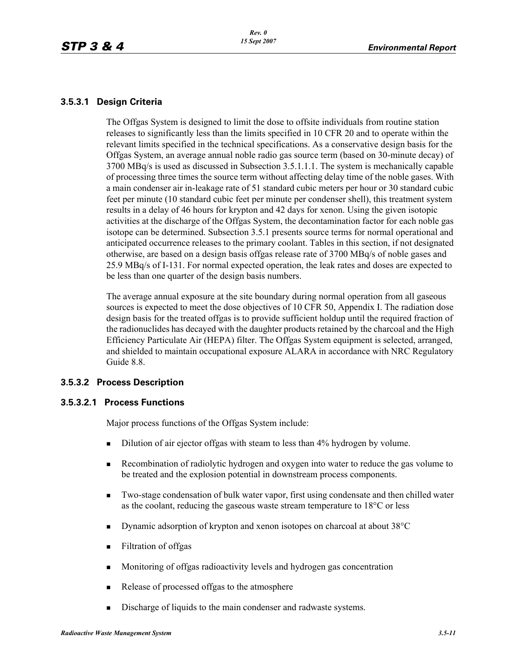### **3.5.3.1 Design Criteria**

The Offgas System is designed to limit the dose to offsite individuals from routine station releases to significantly less than the limits specified in 10 CFR 20 and to operate within the relevant limits specified in the technical specifications. As a conservative design basis for the Offgas System, an average annual noble radio gas source term (based on 30-minute decay) of 3700 MBq/s is used as discussed in Subsection 3.5.1.1.1. The system is mechanically capable of processing three times the source term without affecting delay time of the noble gases. With a main condenser air in-leakage rate of 51 standard cubic meters per hour or 30 standard cubic feet per minute (10 standard cubic feet per minute per condenser shell), this treatment system results in a delay of 46 hours for krypton and 42 days for xenon. Using the given isotopic activities at the discharge of the Offgas System, the decontamination factor for each noble gas isotope can be determined. Subsection 3.5.1 presents source terms for normal operational and anticipated occurrence releases to the primary coolant. Tables in this section, if not designated otherwise, are based on a design basis offgas release rate of 3700 MBq/s of noble gases and 25.9 MBq/s of I-131. For normal expected operation, the leak rates and doses are expected to be less than one quarter of the design basis numbers.

The average annual exposure at the site boundary during normal operation from all gaseous sources is expected to meet the dose objectives of 10 CFR 50, Appendix I. The radiation dose design basis for the treated offgas is to provide sufficient holdup until the required fraction of the radionuclides has decayed with the daughter products retained by the charcoal and the High Efficiency Particulate Air (HEPA) filter. The Offgas System equipment is selected, arranged, and shielded to maintain occupational exposure ALARA in accordance with NRC Regulatory Guide 8.8.

## **3.5.3.2 Process Description**

#### **3.5.3.2.1 Process Functions**

Major process functions of the Offgas System include:

- Dilution of air ejector offgas with steam to less than 4% hydrogen by volume.
- Recombination of radiolytic hydrogen and oxygen into water to reduce the gas volume to be treated and the explosion potential in downstream process components.
- Two-stage condensation of bulk water vapor, first using condensate and then chilled water as the coolant, reducing the gaseous waste stream temperature to 18°C or less
- Dynamic adsorption of krypton and xenon isotopes on charcoal at about 38 °C
- **Filtration of offgas**
- **Monitoring of offgas radioactivity levels and hydrogen gas concentration**
- Release of processed offgas to the atmosphere
- Discharge of liquids to the main condenser and radwaste systems.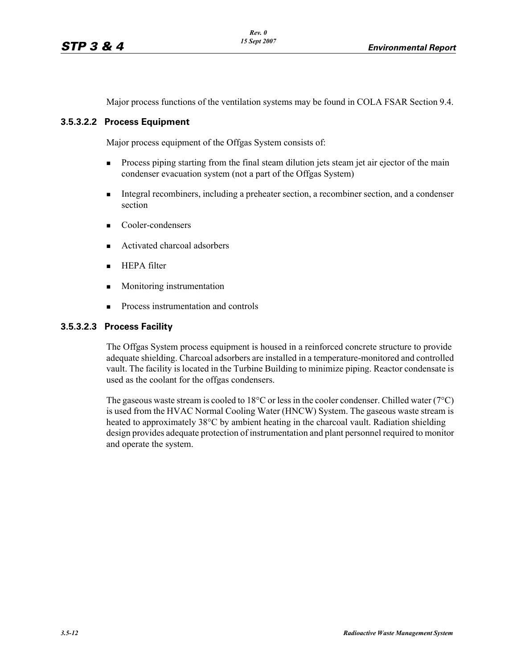Major process functions of the ventilation systems may be found in COLA FSAR Section 9.4.

#### **3.5.3.2.2 Process Equipment**

Major process equipment of the Offgas System consists of:

- **Process piping starting from the final steam dilution jets steam jet air ejector of the main** condenser evacuation system (not a part of the Offgas System)
- Integral recombiners, including a preheater section, a recombiner section, and a condenser section
- Cooler-condensers
- Activated charcoal adsorbers
- $HEPA filter$
- **Monitoring instrumentation**
- **Process instrumentation and controls**

#### **3.5.3.2.3 Process Facility**

The Offgas System process equipment is housed in a reinforced concrete structure to provide adequate shielding. Charcoal adsorbers are installed in a temperature-monitored and controlled vault. The facility is located in the Turbine Building to minimize piping. Reactor condensate is used as the coolant for the offgas condensers.

The gaseous waste stream is cooled to 18 $\degree$ C or less in the cooler condenser. Chilled water (7 $\degree$ C) is used from the HVAC Normal Cooling Water (HNCW) System. The gaseous waste stream is heated to approximately 38°C by ambient heating in the charcoal vault. Radiation shielding design provides adequate protection of instrumentation and plant personnel required to monitor and operate the system.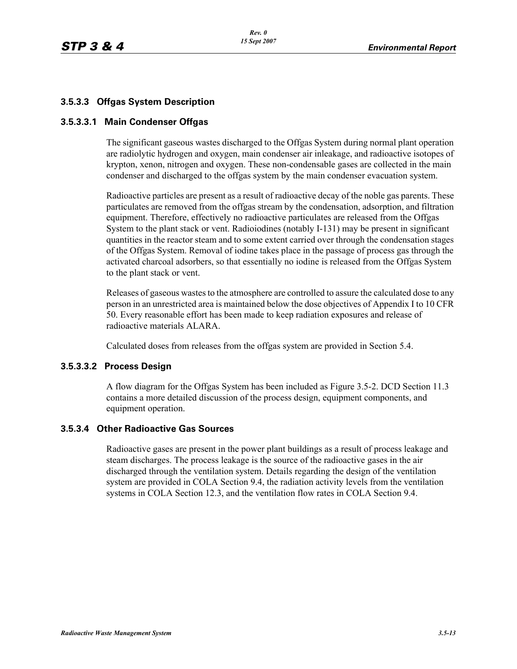## **3.5.3.3 Offgas System Description**

### **3.5.3.3.1 Main Condenser Offgas**

The significant gaseous wastes discharged to the Offgas System during normal plant operation are radiolytic hydrogen and oxygen, main condenser air inleakage, and radioactive isotopes of krypton, xenon, nitrogen and oxygen. These non-condensable gases are collected in the main condenser and discharged to the offgas system by the main condenser evacuation system.

Radioactive particles are present as a result of radioactive decay of the noble gas parents. These particulates are removed from the offgas stream by the condensation, adsorption, and filtration equipment. Therefore, effectively no radioactive particulates are released from the Offgas System to the plant stack or vent. Radioiodines (notably I-131) may be present in significant quantities in the reactor steam and to some extent carried over through the condensation stages of the Offgas System. Removal of iodine takes place in the passage of process gas through the activated charcoal adsorbers, so that essentially no iodine is released from the Offgas System to the plant stack or vent.

Releases of gaseous wastes to the atmosphere are controlled to assure the calculated dose to any person in an unrestricted area is maintained below the dose objectives of Appendix I to 10 CFR 50. Every reasonable effort has been made to keep radiation exposures and release of radioactive materials ALARA.

Calculated doses from releases from the offgas system are provided in Section 5.4.

#### **3.5.3.3.2 Process Design**

A flow diagram for the Offgas System has been included as Figure 3.5-2. DCD Section 11.3 contains a more detailed discussion of the process design, equipment components, and equipment operation.

#### **3.5.3.4 Other Radioactive Gas Sources**

Radioactive gases are present in the power plant buildings as a result of process leakage and steam discharges. The process leakage is the source of the radioactive gases in the air discharged through the ventilation system. Details regarding the design of the ventilation system are provided in COLA Section 9.4, the radiation activity levels from the ventilation systems in COLA Section 12.3, and the ventilation flow rates in COLA Section 9.4.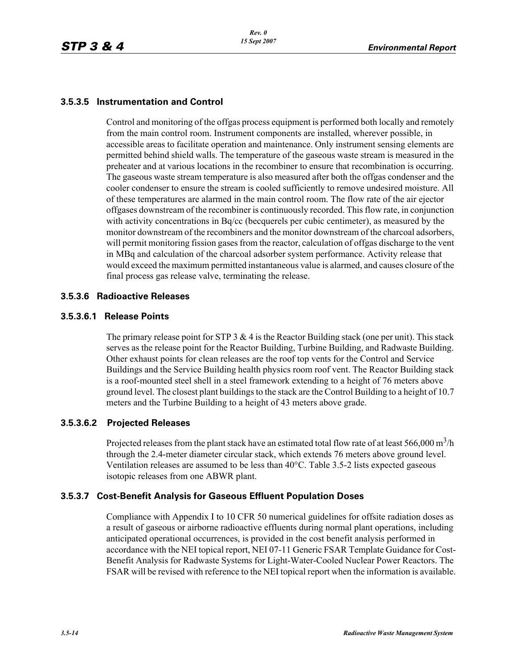## **3.5.3.5 Instrumentation and Control**

Control and monitoring of the offgas process equipment is performed both locally and remotely from the main control room. Instrument components are installed, wherever possible, in accessible areas to facilitate operation and maintenance. Only instrument sensing elements are permitted behind shield walls. The temperature of the gaseous waste stream is measured in the preheater and at various locations in the recombiner to ensure that recombination is occurring. The gaseous waste stream temperature is also measured after both the offgas condenser and the cooler condenser to ensure the stream is cooled sufficiently to remove undesired moisture. All of these temperatures are alarmed in the main control room. The flow rate of the air ejector offgases downstream of the recombiner is continuously recorded. This flow rate, in conjunction with activity concentrations in Bq/cc (becquerels per cubic centimeter), as measured by the monitor downstream of the recombiners and the monitor downstream of the charcoal adsorbers, will permit monitoring fission gases from the reactor, calculation of offgas discharge to the vent in MBq and calculation of the charcoal adsorber system performance. Activity release that would exceed the maximum permitted instantaneous value is alarmed, and causes closure of the final process gas release valve, terminating the release.

## **3.5.3.6 Radioactive Releases**

### **3.5.3.6.1 Release Points**

The primary release point for STP 3  $\&$  4 is the Reactor Building stack (one per unit). This stack serves as the release point for the Reactor Building, Turbine Building, and Radwaste Building. Other exhaust points for clean releases are the roof top vents for the Control and Service Buildings and the Service Building health physics room roof vent. The Reactor Building stack is a roof-mounted steel shell in a steel framework extending to a height of 76 meters above ground level. The closest plant buildings to the stack are the Control Building to a height of 10.7 meters and the Turbine Building to a height of 43 meters above grade.

## **3.5.3.6.2 Projected Releases**

Projected releases from the plant stack have an estimated total flow rate of at least 566,000 m<sup>3</sup>/h through the 2.4-meter diameter circular stack, which extends 76 meters above ground level. Ventilation releases are assumed to be less than 40°C. Table 3.5-2 lists expected gaseous isotopic releases from one ABWR plant.

## **3.5.3.7 Cost-Benefit Analysis for Gaseous Effluent Population Doses**

Compliance with Appendix I to 10 CFR 50 numerical guidelines for offsite radiation doses as a result of gaseous or airborne radioactive effluents during normal plant operations, including anticipated operational occurrences, is provided in the cost benefit analysis performed in accordance with the NEI topical report, NEI 07-11 Generic FSAR Template Guidance for Cost-Benefit Analysis for Radwaste Systems for Light-Water-Cooled Nuclear Power Reactors. The FSAR will be revised with reference to the NEI topical report when the information is available.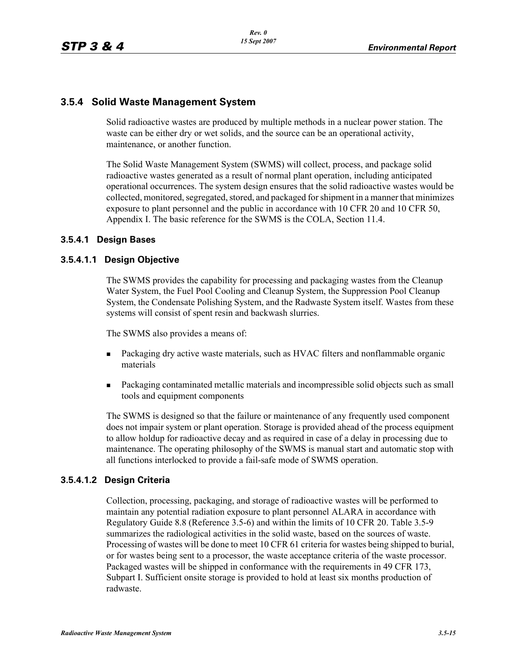## **3.5.4 Solid Waste Management System**

Solid radioactive wastes are produced by multiple methods in a nuclear power station. The waste can be either dry or wet solids, and the source can be an operational activity, maintenance, or another function.

The Solid Waste Management System (SWMS) will collect, process, and package solid radioactive wastes generated as a result of normal plant operation, including anticipated operational occurrences. The system design ensures that the solid radioactive wastes would be collected, monitored, segregated, stored, and packaged for shipment in a manner that minimizes exposure to plant personnel and the public in accordance with 10 CFR 20 and 10 CFR 50, Appendix I. The basic reference for the SWMS is the COLA, Section 11.4.

### **3.5.4.1 Design Bases**

### **3.5.4.1.1 Design Objective**

The SWMS provides the capability for processing and packaging wastes from the Cleanup Water System, the Fuel Pool Cooling and Cleanup System, the Suppression Pool Cleanup System, the Condensate Polishing System, and the Radwaste System itself. Wastes from these systems will consist of spent resin and backwash slurries.

The SWMS also provides a means of:

- Packaging dry active waste materials, such as HVAC filters and nonflammable organic materials
- **Packaging contaminated metallic materials and incompressible solid objects such as small** tools and equipment components

The SWMS is designed so that the failure or maintenance of any frequently used component does not impair system or plant operation. Storage is provided ahead of the process equipment to allow holdup for radioactive decay and as required in case of a delay in processing due to maintenance. The operating philosophy of the SWMS is manual start and automatic stop with all functions interlocked to provide a fail-safe mode of SWMS operation.

#### **3.5.4.1.2 Design Criteria**

Collection, processing, packaging, and storage of radioactive wastes will be performed to maintain any potential radiation exposure to plant personnel ALARA in accordance with Regulatory Guide 8.8 (Reference 3.5-6) and within the limits of 10 CFR 20. Table 3.5-9 summarizes the radiological activities in the solid waste, based on the sources of waste. Processing of wastes will be done to meet 10 CFR 61 criteria for wastes being shipped to burial, or for wastes being sent to a processor, the waste acceptance criteria of the waste processor. Packaged wastes will be shipped in conformance with the requirements in 49 CFR 173, Subpart I. Sufficient onsite storage is provided to hold at least six months production of radwaste.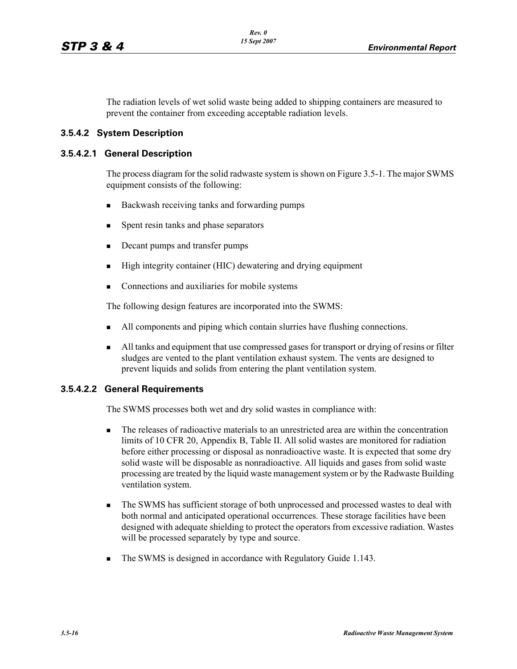The radiation levels of wet solid waste being added to shipping containers are measured to prevent the container from exceeding acceptable radiation levels.

### **3.5.4.2 System Description**

#### **3.5.4.2.1 General Description**

The process diagram for the solid radwaste system is shown on Figure 3.5-1. The major SWMS equipment consists of the following:

- Backwash receiving tanks and forwarding pumps
- Spent resin tanks and phase separators
- Decant pumps and transfer pumps
- High integrity container (HIC) dewatering and drying equipment
- Connections and auxiliaries for mobile systems

The following design features are incorporated into the SWMS:

- All components and piping which contain slurries have flushing connections.
- I All tanks and equipment that use compressed gases for transport or drying of resins or filter sludges are vented to the plant ventilation exhaust system. The vents are designed to prevent liquids and solids from entering the plant ventilation system.

## **3.5.4.2.2 General Requirements**

The SWMS processes both wet and dry solid wastes in compliance with:

- The releases of radioactive materials to an unrestricted area are within the concentration limits of 10 CFR 20, Appendix B, Table II. All solid wastes are monitored for radiation before either processing or disposal as nonradioactive waste. It is expected that some dry solid waste will be disposable as nonradioactive. All liquids and gases from solid waste processing are treated by the liquid waste management system or by the Radwaste Building ventilation system.
- The SWMS has sufficient storage of both unprocessed and processed wastes to deal with both normal and anticipated operational occurrences. These storage facilities have been designed with adequate shielding to protect the operators from excessive radiation. Wastes will be processed separately by type and source.
- The SWMS is designed in accordance with Regulatory Guide 1.143.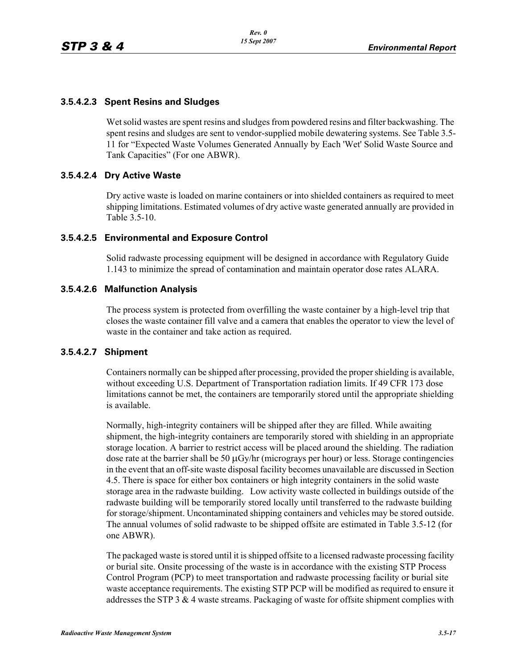## **3.5.4.2.3 Spent Resins and Sludges**

Wet solid wastes are spent resins and sludges from powdered resins and filter backwashing. The spent resins and sludges are sent to vendor-supplied mobile dewatering systems. See Table 3.5- 11 for "Expected Waste Volumes Generated Annually by Each 'Wet' Solid Waste Source and Tank Capacities" (For one ABWR).

### **3.5.4.2.4 Dry Active Waste**

Dry active waste is loaded on marine containers or into shielded containers as required to meet shipping limitations. Estimated volumes of dry active waste generated annually are provided in Table 3.5-10.

### **3.5.4.2.5 Environmental and Exposure Control**

Solid radwaste processing equipment will be designed in accordance with Regulatory Guide 1.143 to minimize the spread of contamination and maintain operator dose rates ALARA.

### **3.5.4.2.6 Malfunction Analysis**

The process system is protected from overfilling the waste container by a high-level trip that closes the waste container fill valve and a camera that enables the operator to view the level of waste in the container and take action as required.

#### **3.5.4.2.7 Shipment**

Containers normally can be shipped after processing, provided the proper shielding is available, without exceeding U.S. Department of Transportation radiation limits. If 49 CFR 173 dose limitations cannot be met, the containers are temporarily stored until the appropriate shielding is available.

Normally, high-integrity containers will be shipped after they are filled. While awaiting shipment, the high-integrity containers are temporarily stored with shielding in an appropriate storage location. A barrier to restrict access will be placed around the shielding. The radiation dose rate at the barrier shall be 50 μGy/hr (micrograys per hour) or less. Storage contingencies in the event that an off-site waste disposal facility becomes unavailable are discussed in Section 4.5. There is space for either box containers or high integrity containers in the solid waste storage area in the radwaste building. Low activity waste collected in buildings outside of the radwaste building will be temporarily stored locally until transferred to the radwaste building for storage/shipment. Uncontaminated shipping containers and vehicles may be stored outside. The annual volumes of solid radwaste to be shipped offsite are estimated in Table 3.5-12 (for one ABWR).

The packaged waste is stored until it is shipped offsite to a licensed radwaste processing facility or burial site. Onsite processing of the waste is in accordance with the existing STP Process Control Program (PCP) to meet transportation and radwaste processing facility or burial site waste acceptance requirements. The existing STP PCP will be modified as required to ensure it addresses the STP 3 & 4 waste streams. Packaging of waste for offsite shipment complies with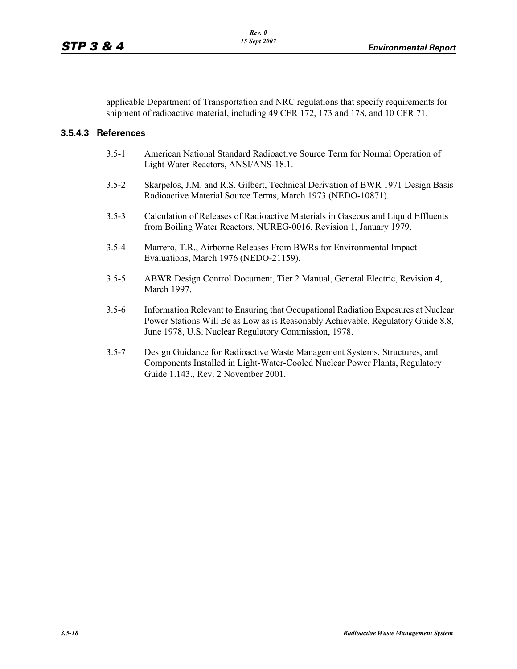applicable Department of Transportation and NRC regulations that specify requirements for shipment of radioactive material, including 49 CFR 172, 173 and 178, and 10 CFR 71.

### **3.5.4.3 References**

- 3.5-1 American National Standard Radioactive Source Term for Normal Operation of Light Water Reactors, ANSI/ANS-18.1.
- 3.5-2 Skarpelos, J.M. and R.S. Gilbert, Technical Derivation of BWR 1971 Design Basis Radioactive Material Source Terms, March 1973 (NEDO-10871).
- 3.5-3 Calculation of Releases of Radioactive Materials in Gaseous and Liquid Effluents from Boiling Water Reactors, NUREG-0016, Revision 1, January 1979.
- 3.5-4 Marrero, T.R., Airborne Releases From BWRs for Environmental Impact Evaluations, March 1976 (NEDO-21159).
- 3.5-5 ABWR Design Control Document, Tier 2 Manual, General Electric, Revision 4, March 1997.
- 3.5-6 Information Relevant to Ensuring that Occupational Radiation Exposures at Nuclear Power Stations Will Be as Low as is Reasonably Achievable, Regulatory Guide 8.8, June 1978, U.S. Nuclear Regulatory Commission, 1978.
- 3.5-7 Design Guidance for Radioactive Waste Management Systems, Structures, and Components Installed in Light-Water-Cooled Nuclear Power Plants, Regulatory Guide 1.143., Rev. 2 November 2001.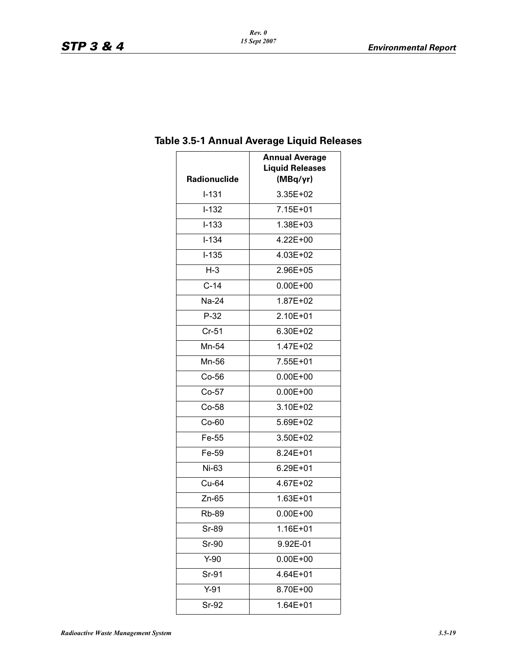| <b>Radionuclide</b> | <b>Annual Average</b><br><b>Liquid Releases</b><br>(MBq/yr) |
|---------------------|-------------------------------------------------------------|
| $I-131$             | 3.35E+02                                                    |
| $I-132$             | 7.15E+01                                                    |
| $I-133$             | 1.38E+03                                                    |
| $I - 134$           | 4.22E+00                                                    |
| $I-135$             | 4.03E+02                                                    |
| $H-3$               | 2.96E+05                                                    |
| $C-14$              | $0.00E + 00$                                                |
| Na-24               | 1.87E+02                                                    |
| $P-32$              | 2.10E+01                                                    |
| $Cr-51$             | 6.30E+02                                                    |
| Mn-54               | 1.47E+02                                                    |
| Mn-56               | 7.55E+01                                                    |
| $Co-56$             | $0.00E + 00$                                                |
| Co-57               | $0.00E + 00$                                                |
| Co-58               | 3.10E+02                                                    |
| $Co-60$             | 5.69E+02                                                    |
| Fe-55               | 3.50E+02                                                    |
| Fe-59               | 8.24E+01                                                    |
| Ni-63               | 6.29E+01                                                    |
| Cu-64               | 4.67E+02                                                    |
| Zn-65               | 1.63E+01                                                    |
| <b>Rb-89</b>        | $0.00E + 00$                                                |
| Sr-89               | 1.16E+01                                                    |
| Sr-90               | 9.92E-01                                                    |
| $Y-90$              | $0.00E + 00$                                                |
| Sr-91               | 4.64E+01                                                    |
| $Y-91$              | 8.70E+00                                                    |
| Sr-92               | 1.64E+01                                                    |

# **Table 3.5-1 Annual Average Liquid Releases**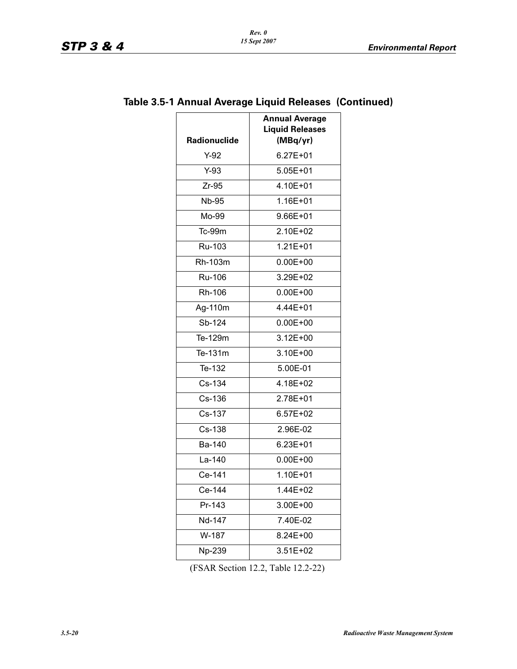| <b>Radionuclide</b> | <b>Annual Average</b><br><b>Liquid Releases</b><br>(MBq/yr) |
|---------------------|-------------------------------------------------------------|
| Y-92                | $6.27E + 01$                                                |
| $Y-93$              | $5.05E + 01$                                                |
| $Zr-95$             | 4.10E+01                                                    |
| <b>Nb-95</b>        | 1.16E+01                                                    |
| Mo-99               | $9.66E + 01$                                                |
| Tc-99m              | 2.10E+02                                                    |
| Ru-103              | $1.21E + 01$                                                |
| Rh-103m             | $0.00E + 00$                                                |
| Ru-106              | 3.29E+02                                                    |
| Rh-106              | $0.00E + 00$                                                |
| Ag-110m             | 4.44E+01                                                    |
| Sb-124              | $0.00E + 00$                                                |
| Te-129m             | $3.12E + 00$                                                |
| Te-131m             | 3.10E+00                                                    |
| Te-132              | 5.00E-01                                                    |
| Cs-134              | 4.18E+02                                                    |
| Cs-136              | 2.78E+01                                                    |
| Cs-137              | $6.57E + 02$                                                |
| Cs-138              | 2.96E-02                                                    |
| Ba-140              | $6.23E + 01$                                                |
| La-140              | $0.00E + 00$                                                |
| Ce-141              | 1.10E+01                                                    |
| Ce-144              | 1.44E+02                                                    |
| Pr-143              | 3.00E+00                                                    |
| Nd-147              | 7.40E-02                                                    |
| W-187               | 8.24E+00                                                    |
| Np-239              | 3.51E+02                                                    |
|                     |                                                             |

# **Table 3.5-1 Annual Average Liquid Releases (Continued)**

(FSAR Section 12.2, Table 12.2-22)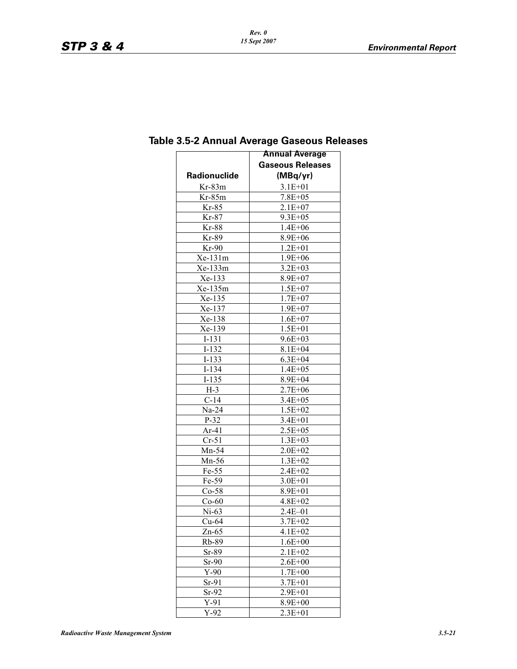|                     | <b>Annual Average</b>   |
|---------------------|-------------------------|
|                     | <b>Gaseous Releases</b> |
| <b>Radionuclide</b> | (MBq/yr)                |
| $Kr-83m$            | $3.1E + 01$             |
| $Kr-85m$            | $7.8E + 05$             |
| $Kr-85$             | $2.1E + 07$             |
| $Kr-87$             | $9.3E + 0.5$            |
| $Kr-88$             | $1.4E + 06$             |
| Kr-89               | 8.9E+06                 |
| $Kr-90$             | $1.2E + 01$             |
| Xe-131m             | $1.9E + 06$             |
| Xe-133m             | $3.2E + 03$             |
| Xe-133              | 8.9E+07                 |
| Xe-135m             | $1.5E + 07$             |
| Xe-135              | $1.7E + 07$             |
| Xe-137              | $1.9E + 07$             |
| Xe-138              | $1.6E + 07$             |
| Xe-139              | $1.5E + 01$             |
| $I-131$             | $9.6E + 03$             |
| $I-132$             | $8.1E + 04$             |
| $I-133$             | $6.3E + 04$             |
| $I-134$             | $1.4E + 05$             |
| $I-135$             | 8.9E+04                 |
| $H-3$               | $2.7E + 06$             |
| $C-14$              | $3.4E + 05$             |
| $Na-24$             | $1.5E + 02$             |
| $P-32$              | 3.4E+01                 |
| $Ar-41$             | $2.5E + 05$             |
| $Cr-51$             | $1.3E + 03$             |
| Mn-54               | $2.0E + 02$             |
| Mn-56               | $1.3E + 02$             |
| $Fe-55$             | $2.4E + 02$             |
| $Fe-59$             | $3.0E + 01$             |
| $Co-58$             | 8.9E+01                 |
| $Co-60$             | $4.8E + 02$             |
| $Ni-63$             | $2.4E - 01$             |
| $Cu-64$             | $3.7E + 02$             |
| $Zn-65$             | 4.1E+02                 |
| Rb-89               | $1.6E + 00$             |
| $Sr-89$             | $2.1E + 02$             |
| $Sr-90$             | $2.6E + 00$             |
| $Y-90$              | $1.7E + 00$             |
| $Sr-91$             | $3.7E + 01$             |
| $Sr-92$             | 2.9E+01                 |
| $Y-91$              | 8.9E+00                 |
| $Y-92$              | $2.3E + 01$             |

# **Table 3.5-2 Annual Average Gaseous Releases**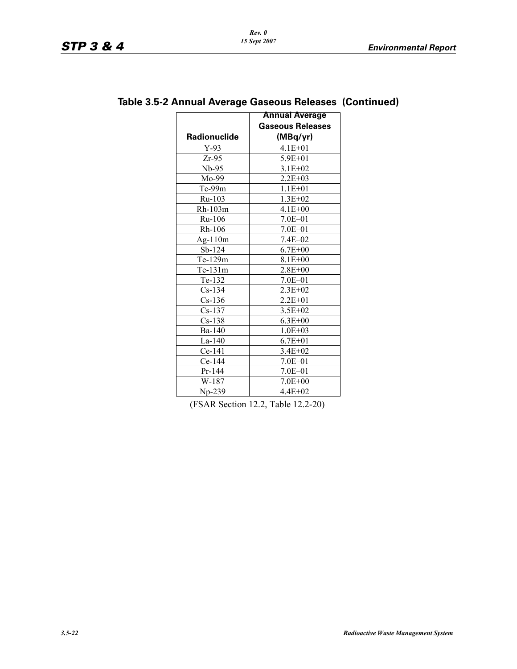|                     | <b>Annual Average</b>   |
|---------------------|-------------------------|
|                     | <b>Gaseous Releases</b> |
| <b>Radionuclide</b> | (MBq/yr)                |
| $Y-93$              | $4.1E + 01$             |
| Zr-95               | 5.9E+01                 |
| $Nb-95$             | $3.1E + 02$             |
| $Mo-99$             | $2.2E + 03$             |
| $Tc-99m$            | $1.1E + 01$             |
| $Ru-103$            | $1.3E + 02$             |
| Rh-103m             | $4.1E + 00$             |
| Ru-106              | $7.0E - 01$             |
| $Rh-106$            | $7.0E - 01$             |
| $Ag-110m$           | $7.4E - 02$             |
| $Sb-124$            | $6.7E + 00$             |
| Te-129m             | $8.1E + 00$             |
| $Te-131m$           | $2.8E + 00$             |
| $Te-132$            | $7.0E - 01$             |
| $Cs-134$            | $2.3E+02$               |
| $Cs-136$            | $2.2E + 01$             |
| $Cs-137$            | $3.5E + 02$             |
| $Cs-138$            | $6.3E + 00$             |
| Ba-140              | $1.0E + 03$             |
| $La-140$            | $6.7E + 01$             |
| $Ce-141$            | $3.4E + 02$             |
| Ce-144              | $7.0E - 01$             |
| $Pr-144$            | $7.0E - 01$             |
| W-187               | $7.0E + 00$             |
| $Np-239$            | $4.4E+02$               |

# **Table 3.5-2 Annual Average Gaseous Releases (Continued)**

(FSAR Section 12.2, Table 12.2-20)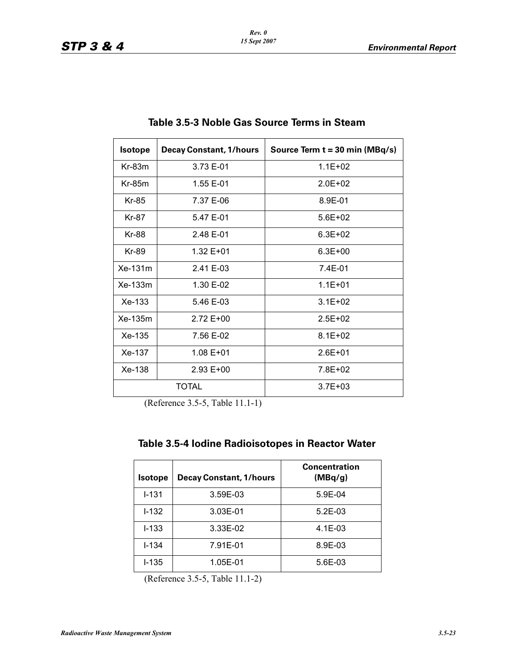| <b>Isotope</b>          | <b>Decay Constant, 1/hours</b> | Source Term $t = 30$ min (MBq/s) |
|-------------------------|--------------------------------|----------------------------------|
| $Kr-83m$                | 3.73 E-01                      | $1.1E + 02$                      |
| $Kr-85m$                | 1.55 E-01                      | $2.0E + 02$                      |
| Kr-85                   | 7.37 E-06                      | 8.9E-01                          |
| Kr-87                   | 5.47 E-01                      | $5.6E + 02$                      |
| Kr-88                   | 2.48 E-01                      | $6.3E + 02$                      |
| Kr-89                   | $1.32 E + 01$                  | $6.3E + 00$                      |
| $Xe-131m$               | 2.41 E-03                      | $7.4E - 01$                      |
| $Xe-133m$               | 1.30 E-02                      | $1.1E + 01$                      |
| $Xe-133$                | $5.46E - 03$                   | $3.1E + 02$                      |
| $Xe-135m$               | $2.72E+00$                     | $2.5E + 02$                      |
| $Xe-135$                | 7.56 E-02                      | $8.1E + 02$                      |
| Xe-137                  | $1.08E + 01$                   | $2.6F + 01$                      |
| $Xe-138$<br>$2.93 E+00$ |                                | 7.8E+02                          |
|                         | <b>TOTAL</b>                   | $3.7E + 03$                      |

# **Table 3.5-3 Noble Gas Source Terms in Steam**

(Reference 3.5-5, Table 11.1-1)

| <b>Isotope</b> | <b>Decay Constant, 1/hours</b> | <b>Concentration</b><br>(MBq/g) |
|----------------|--------------------------------|---------------------------------|
| $I - 131$      | 3.59E-03                       | 5.9E-04                         |
| $1 - 132$      | 3.03E-01                       | $5.2E-03$                       |
| $I - 133$      | 3.33E-02                       | $4.1E - 03$                     |
| $I - 134$      | 7.91E-01                       | 8.9E-03                         |
| $I-135$        | 1.05E-01                       | 5.6E-03                         |

(Reference 3.5-5, Table 11.1-2)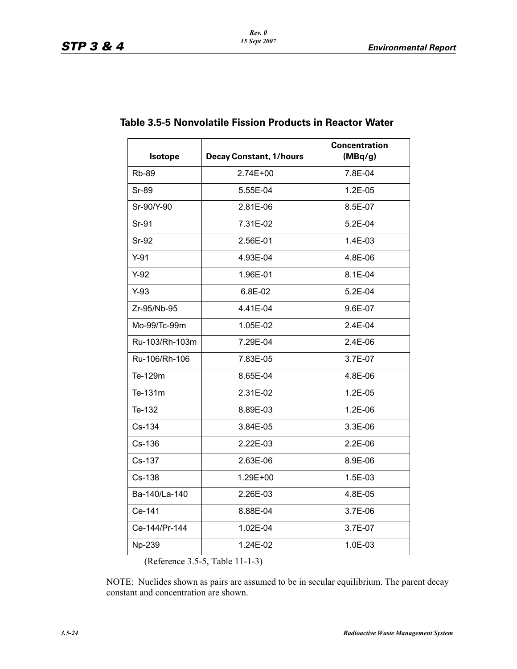| <b>Isotope</b> | <b>Decay Constant, 1/hours</b> | <b>Concentration</b><br>(MBq/g) |
|----------------|--------------------------------|---------------------------------|
| <b>Rb-89</b>   | 2.74E+00                       | 7.8E-04                         |
| <b>Sr-89</b>   | 5.55E-04                       | 1.2E-05                         |
| Sr-90/Y-90     | 2.81E-06                       | 8.5E-07                         |
| Sr-91          | 7.31E-02                       | 5.2E-04                         |
| <b>Sr-92</b>   | 2.56E-01                       | 1.4E-03                         |
| $Y-91$         | 4.93E-04                       | 4.8E-06                         |
| $Y-92$         | 1.96E-01                       | 8.1E-04                         |
| $Y-93$         | 6.8E-02                        | $5.2E-04$                       |
| Zr-95/Nb-95    | 4.41E-04                       | 9.6E-07                         |
| Mo-99/Tc-99m   | 1.05E-02                       | 2.4E-04                         |
| Ru-103/Rh-103m | 7.29E-04                       | $2.4E-06$                       |
| Ru-106/Rh-106  | 7.83E-05                       | 3.7E-07                         |
| Te-129m        | 8.65E-04                       | 4.8E-06                         |
| Te-131m        | 2.31E-02                       | 1.2E-05                         |
| Te-132         | 8.89E-03                       | 1.2E-06                         |
| Cs-134         | 3.84E-05                       | 3.3E-06                         |
| $Cs-136$       | 2.22E-03                       | $2.2E-06$                       |
| Cs-137         | 2.63E-06                       | 8.9E-06                         |
| Cs-138         | 1.29E+00                       | 1.5E-03                         |
| Ba-140/La-140  | 2.26E-03                       | 4.8E-05                         |
| Ce-141         | 8.88E-04                       | 3.7E-06                         |
| Ce-144/Pr-144  | 1.02E-04                       | 3.7E-07                         |
| Np-239         | 1.24E-02                       | $1.0E-03$                       |

# **Table 3.5-5 Nonvolatile Fission Products in Reactor Water**

(Reference 3.5-5, Table 11-1-3)

NOTE: Nuclides shown as pairs are assumed to be in secular equilibrium. The parent decay constant and concentration are shown.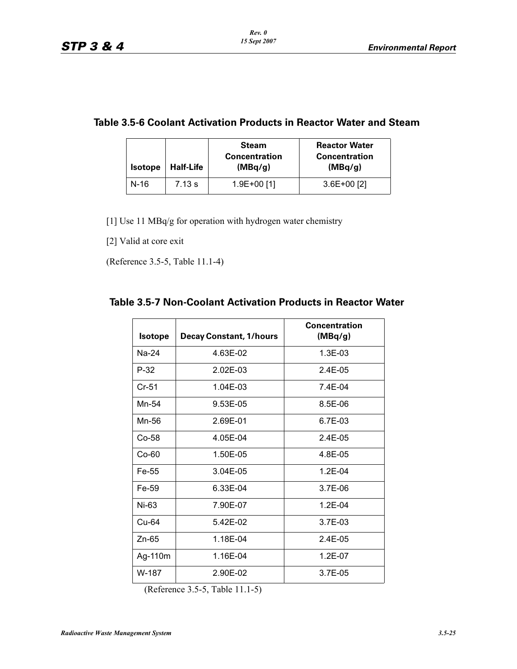# **Table 3.5-6 Coolant Activation Products in Reactor Water and Steam**

| <b>Isotope</b> | <b>Half-Life</b> | <b>Steam</b><br><b>Concentration</b><br>(MBq/g) | <b>Reactor Water</b><br><b>Concentration</b><br>(MBq/g) |
|----------------|------------------|-------------------------------------------------|---------------------------------------------------------|
| N-16           | 7.13 s           | $1.9E+00$ [1]                                   | $3.6E+00$ [2]                                           |

[1] Use 11 MBq/g for operation with hydrogen water chemistry

[2] Valid at core exit

(Reference 3.5-5, Table 11.1-4)

## **Table 3.5-7 Non-Coolant Activation Products in Reactor Water**

| <b>Isotope</b> | <b>Decay Constant, 1/hours</b> | <b>Concentration</b><br>(MBq/g) |
|----------------|--------------------------------|---------------------------------|
| $Na-24$        | 4.63E-02                       | $1.3E-03$                       |
| P-32           | $2.02E - 0.3$                  | $2.4F-0.5$                      |
| $Cr-51$        | $1.04E - 0.3$                  | $7.4F-04$                       |
| Mn-54          | 9.53E-05                       | 8.5E-06                         |
| Mn-56          | 2.69E-01                       | $6.7E-0.3$                      |
| $Co-58$        | 4.05E-04                       | $2.4F-0.5$                      |
| $Co-60$        | 1.50E-05                       | 4.8E-05                         |
| Fe-55          | 3.04E-05                       | $1.2F - 04$                     |
| Fe-59          | 6.33E-04                       | 3.7E-06                         |
| Ni-63          | 7.90E-07                       | $1.2F - 04$                     |
| $Cu-64$        | 5.42E-02                       | $3.7F - 0.3$                    |
| Zn-65          | 1.18E-04                       | $2.4E-05$                       |
| Ag-110m        | 1.16E-04                       | $1.2E - 07$                     |
| W-187          | 2.90E-02                       | $3.7F - 0.5$                    |

(Reference 3.5-5, Table 11.1-5)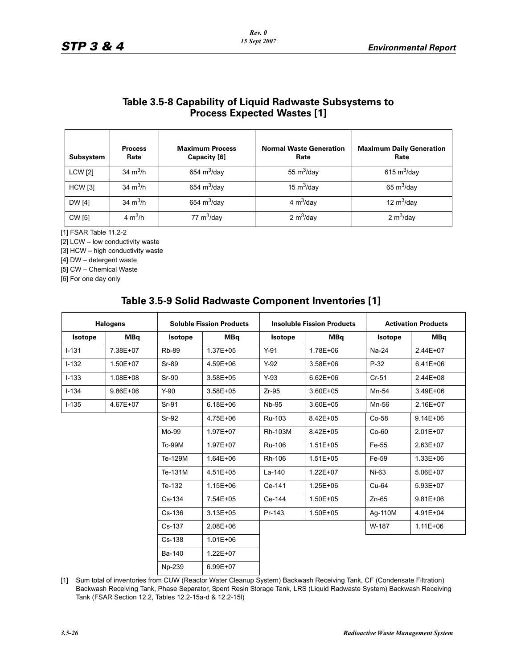## **Table 3.5-8 Capability of Liquid Radwaste Subsystems to Process Expected Wastes [1]**

| <b>Subsystem</b> | <b>Process</b><br>Rate | <b>Maximum Process</b><br>Capacity [6] | <b>Normal Waste Generation</b><br>Rate | <b>Maximum Daily Generation</b><br>Rate |
|------------------|------------------------|----------------------------------------|----------------------------------------|-----------------------------------------|
| <b>LCW</b> [2]   | 34 $m^3/h$             | 654 $m^3$ /day                         | 55 $m^3$ /day                          | 615 $m^3$ /day                          |
| <b>HCW</b> [3]   | 34 $m^3/h$             | 654 $m^3$ /day                         | 15 $m^3$ /day                          | 65 $m^3$ /day                           |
| <b>DW</b> [4]    | 34 $m^3/h$             | 654 $m^3$ /day                         | 4 $m^3$ /day                           | 12 $m^3$ /day                           |
| <b>CW</b> [5]    | 4 $m^3/h$              | 77 $m^3$ /day                          | 2 $m^3$ /day                           | 2 $m^3$ /day                            |

[1] FSAR Table 11.2-2

[2] LCW – low conductivity waste

[3] HCW – high conductivity waste

[4] DW – detergent waste

[5] CW – Chemical Waste

[6] For one day only

| <b>Halogens</b> |            | <b>Soluble Fission Products</b> |              | <b>Insoluble Fission Products</b> |              | <b>Activation Products</b> |              |
|-----------------|------------|---------------------------------|--------------|-----------------------------------|--------------|----------------------------|--------------|
| <b>Isotope</b>  | <b>MBq</b> | Isotope                         | <b>MBq</b>   | <b>Isotope</b>                    | <b>MBq</b>   | <b>Isotope</b>             | <b>MBq</b>   |
| $-131$          | 7.38E+07   | <b>Rb-89</b>                    | 1.37E+05     | $Y-91$                            | 1.78E+06     | Na-24                      | 2.44E+07     |
| $-132$          | 1.50E+07   | Sr-89                           | 4.59E+06     | $Y-92$                            | $3.58E + 06$ | $P-32$                     | $6.41E + 06$ |
| $-133$          | 1.08E+08   | <b>Sr-90</b>                    | 3.58E+05     | $Y-93$                            | $6.62E + 06$ | $Cr-51$                    | 2.44E+08     |
| $-134$          | 9.86E+06   | $Y-90$                          | 3.58E+05     | $Zr-95$                           | 3.60E+05     | Mn-54                      | 3.49E+06     |
| $-135$          | 4.67E+07   | Sr-91                           | $6.18E + 06$ | <b>Nb-95</b>                      | 3.60E+05     | Mn-56                      | 2.16E+07     |
|                 |            | Sr-92                           | 4.75E+06     | Ru-103                            | 8.42E+05     | $Co-58$                    | $9.14E + 06$ |
|                 |            | Mo-99                           | 1.97E+07     | <b>Rh-103M</b>                    | 8.42E+05     | $Co-60$                    | $2.01E + 07$ |
|                 |            | <b>Tc-99M</b>                   | 1.97E+07     | <b>Ru-106</b>                     | $1.51E + 05$ | Fe-55                      | 2.63E+07     |
|                 |            | Te-129M                         | $1.64E + 06$ | Rh-106                            | 1.51E+05     | Fe-59                      | $1.33E + 06$ |
|                 |            | Te-131M                         | 4.51E+05     | $La-140$                          | $1.22E + 07$ | Ni-63                      | 5.06E+07     |
|                 |            | Te-132                          | $1.15E + 06$ | Ce-141                            | 1.25E+06     | $Cu-64$                    | 5.93E+07     |
|                 |            | Cs-134                          | 7.54E+05     | Ce-144                            | 1.50E+05     | $Zn-65$                    | $9.81E + 06$ |
|                 |            | $Cs-136$                        | $3.13E + 05$ | Pr-143                            | 1.50E+05     | Aq-110M                    | 4.91E+04     |
|                 |            | Cs-137                          | 2.08E+06     |                                   |              | W-187                      | $1.11E + 06$ |
|                 |            | Cs-138                          | $1.01E + 06$ |                                   |              |                            |              |
|                 |            | Ba-140                          | $1.22E + 07$ |                                   |              |                            |              |
|                 |            | Np-239                          | 6.99E+07     |                                   |              |                            |              |

## **Table 3.5-9 Solid Radwaste Component Inventories [1]**

[1] Sum total of inventories from CUW (Reactor Water Cleanup System) Backwash Receiving Tank, CF (Condensate Filtration) Backwash Receiving Tank, Phase Separator, Spent Resin Storage Tank, LRS (Liquid Radwaste System) Backwash Receiving Tank (FSAR Section 12.2, Tables 12.2-15a-d & 12.2-15l)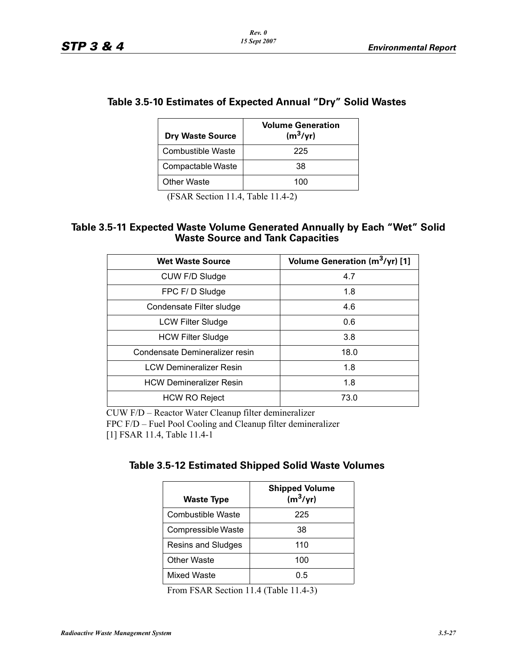| Table 3.5-10 Estimates of Expected Annual "Dry" Solid Wastes |  |
|--------------------------------------------------------------|--|
|--------------------------------------------------------------|--|

| <b>Dry Waste Source</b> | <b>Volume Generation</b><br>$(m^3/yr)$ |
|-------------------------|----------------------------------------|
| Combustible Waste       | 225                                    |
| Compactable Waste       | 38                                     |
| Other Waste             | 100                                    |

(FSAR Section 11.4, Table 11.4-2)

## **Table 3.5-11 Expected Waste Volume Generated Annually by Each "Wet" Solid Waste Source and Tank Capacities**

| <b>Wet Waste Source</b>        | Volume Generation (m <sup>3</sup> /yr) [1] |
|--------------------------------|--------------------------------------------|
| CUW F/D Sludge                 | 4.7                                        |
| FPC F/D Sludge                 | 1.8                                        |
| Condensate Filter sludge       | 4.6                                        |
| <b>LCW Filter Sludge</b>       | 0.6                                        |
| <b>HCW Filter Sludge</b>       | 3.8                                        |
| Condensate Demineralizer resin | 18.0                                       |
| <b>LCW Demineralizer Resin</b> | 1.8                                        |
| <b>HCW Demineralizer Resin</b> | 1.8                                        |
| <b>HCW RO Reject</b>           | 73.0                                       |

CUW F/D – Reactor Water Cleanup filter demineralizer FPC F/D – Fuel Pool Cooling and Cleanup filter demineralizer [1] FSAR 11.4, Table 11.4-1

| Table 3.5-12 Estimated Shipped Solid Waste Volumes |  |
|----------------------------------------------------|--|
|----------------------------------------------------|--|

| <b>Waste Type</b>  | <b>Shipped Volume</b><br>$(m^3/yr)$ |
|--------------------|-------------------------------------|
| Combustible Waste  | 225                                 |
| Compressible Waste | 38                                  |
| Resins and Sludges | 110                                 |
| <b>Other Waste</b> | 100                                 |
| Mixed Waste        | 0.5                                 |

From FSAR Section 11.4 (Table 11.4-3)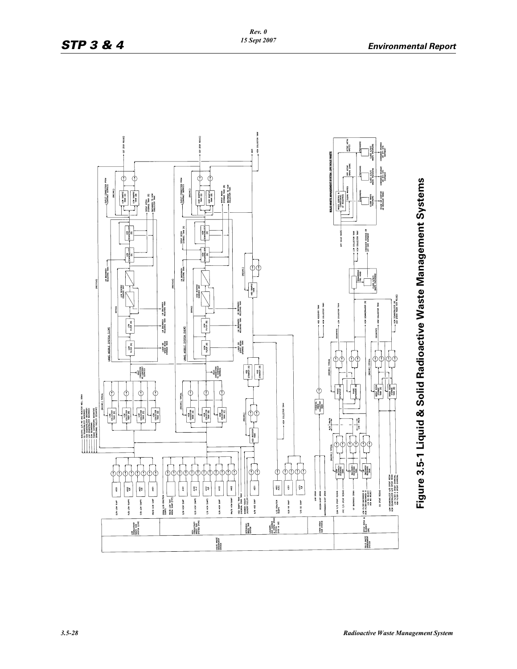

**Figure 3.5-1 Liquid & Solid Radioactive Waste Management Systems**  Figure 3.5-1 Liquid & Solid Radioactive Waste Management Systems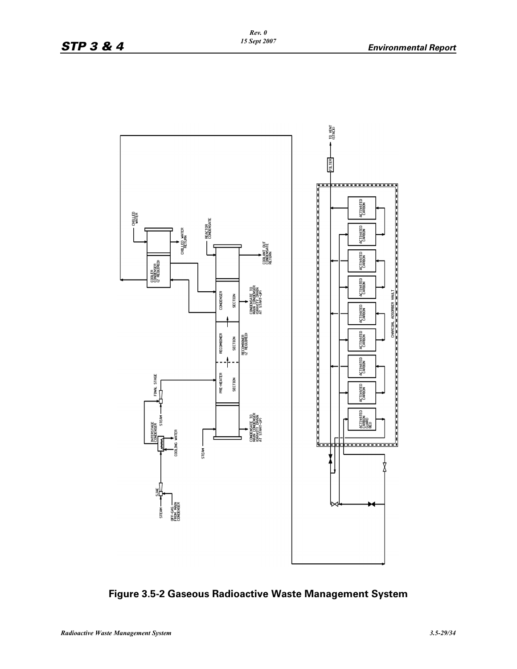

**Figure 3.5-2 Gaseous Radioactive Waste Management System**